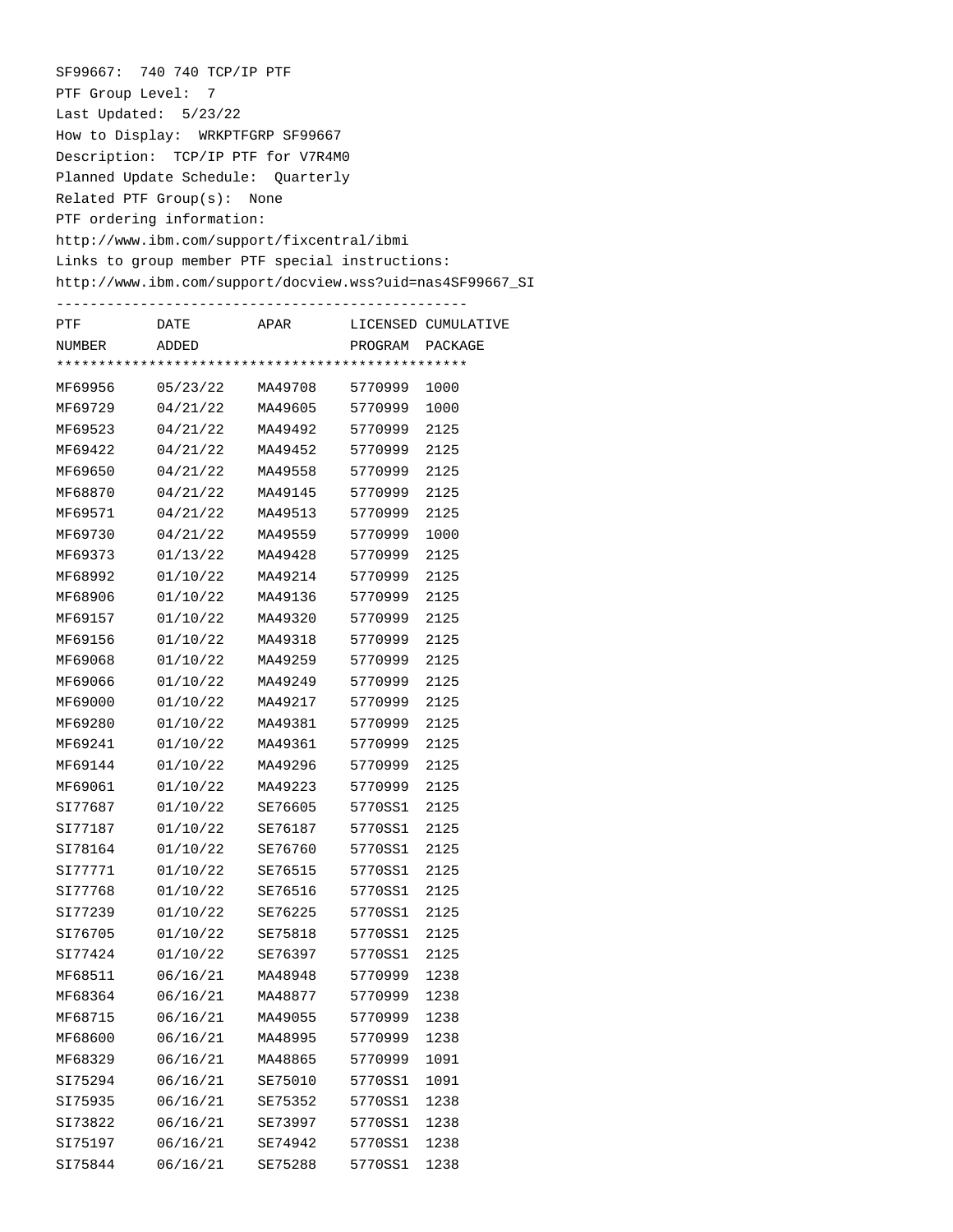SF99667: 740 740 TCP/IP PTF PTF Group Level: 7 Last Updated: 5/23/22 How to Display: WRKPTFGRP SF99667 Description: TCP/IP PTF for V7R4M0 Planned Update Schedule: Quarterly Related PTF Group(s): None PTF ordering information: http://www.ibm.com/support/fixcentral/ibmi Links to group member PTF special instructions: http://www.ibm.com/support/docview.wss?uid=nas4SF99667\_SI -------------------------------------------------

| PTF     | DATE     | APAR    |         | LICENSED CUMULATIVE |  |  |  |  |
|---------|----------|---------|---------|---------------------|--|--|--|--|
| NUMBER  | ADDED    |         | PROGRAM | PACKAGE             |  |  |  |  |
|         |          |         |         |                     |  |  |  |  |
| MF69956 | 05/23/22 | MA49708 | 5770999 | 1000                |  |  |  |  |
| MF69729 | 04/21/22 | MA49605 | 5770999 | 1000                |  |  |  |  |
| MF69523 | 04/21/22 | MA49492 | 5770999 | 2125                |  |  |  |  |
| MF69422 | 04/21/22 | MA49452 | 5770999 | 2125                |  |  |  |  |
| MF69650 | 04/21/22 | MA49558 | 5770999 | 2125                |  |  |  |  |
| MF68870 | 04/21/22 | MA49145 | 5770999 | 2125                |  |  |  |  |
| MF69571 | 04/21/22 | MA49513 | 5770999 | 2125                |  |  |  |  |
| MF69730 | 04/21/22 | MA49559 | 5770999 | 1000                |  |  |  |  |
| MF69373 | 01/13/22 | MA49428 | 5770999 | 2125                |  |  |  |  |
| MF68992 | 01/10/22 | MA49214 | 5770999 | 2125                |  |  |  |  |
| MF68906 | 01/10/22 | MA49136 | 5770999 | 2125                |  |  |  |  |
| MF69157 | 01/10/22 | MA49320 | 5770999 | 2125                |  |  |  |  |
| MF69156 | 01/10/22 | MA49318 | 5770999 | 2125                |  |  |  |  |
| MF69068 | 01/10/22 | MA49259 | 5770999 | 2125                |  |  |  |  |
| MF69066 | 01/10/22 | MA49249 | 5770999 | 2125                |  |  |  |  |
| MF69000 | 01/10/22 | MA49217 | 5770999 | 2125                |  |  |  |  |
| MF69280 | 01/10/22 | MA49381 | 5770999 | 2125                |  |  |  |  |
| MF69241 | 01/10/22 | MA49361 | 5770999 | 2125                |  |  |  |  |
| MF69144 | 01/10/22 | MA49296 | 5770999 | 2125                |  |  |  |  |
| MF69061 | 01/10/22 | MA49223 | 5770999 | 2125                |  |  |  |  |
| SI77687 | 01/10/22 | SE76605 | 5770SS1 | 2125                |  |  |  |  |
| SI77187 | 01/10/22 | SE76187 | 5770SS1 | 2125                |  |  |  |  |
| SI78164 | 01/10/22 | SE76760 | 5770SS1 | 2125                |  |  |  |  |
| SI77771 | 01/10/22 | SE76515 | 5770SS1 | 2125                |  |  |  |  |
| SI77768 | 01/10/22 | SE76516 | 5770SS1 | 2125                |  |  |  |  |
| SI77239 | 01/10/22 | SE76225 | 5770SS1 | 2125                |  |  |  |  |
| SI76705 | 01/10/22 | SE75818 | 5770SS1 | 2125                |  |  |  |  |
| SI77424 | 01/10/22 | SE76397 | 5770SS1 | 2125                |  |  |  |  |
| MF68511 | 06/16/21 | MA48948 | 5770999 | 1238                |  |  |  |  |
| MF68364 | 06/16/21 | MA48877 | 5770999 | 1238                |  |  |  |  |
| MF68715 | 06/16/21 | MA49055 | 5770999 | 1238                |  |  |  |  |
| MF68600 | 06/16/21 | MA48995 | 5770999 | 1238                |  |  |  |  |
| MF68329 | 06/16/21 | MA48865 | 5770999 | 1091                |  |  |  |  |
| SI75294 | 06/16/21 | SE75010 | 5770SS1 | 1091                |  |  |  |  |
| SI75935 | 06/16/21 | SE75352 | 5770SS1 | 1238                |  |  |  |  |
| SI73822 | 06/16/21 | SE73997 | 5770SS1 | 1238                |  |  |  |  |
| SI75197 | 06/16/21 | SE74942 | 5770SS1 | 1238                |  |  |  |  |
| SI75844 | 06/16/21 | SE75288 | 5770SS1 | 1238                |  |  |  |  |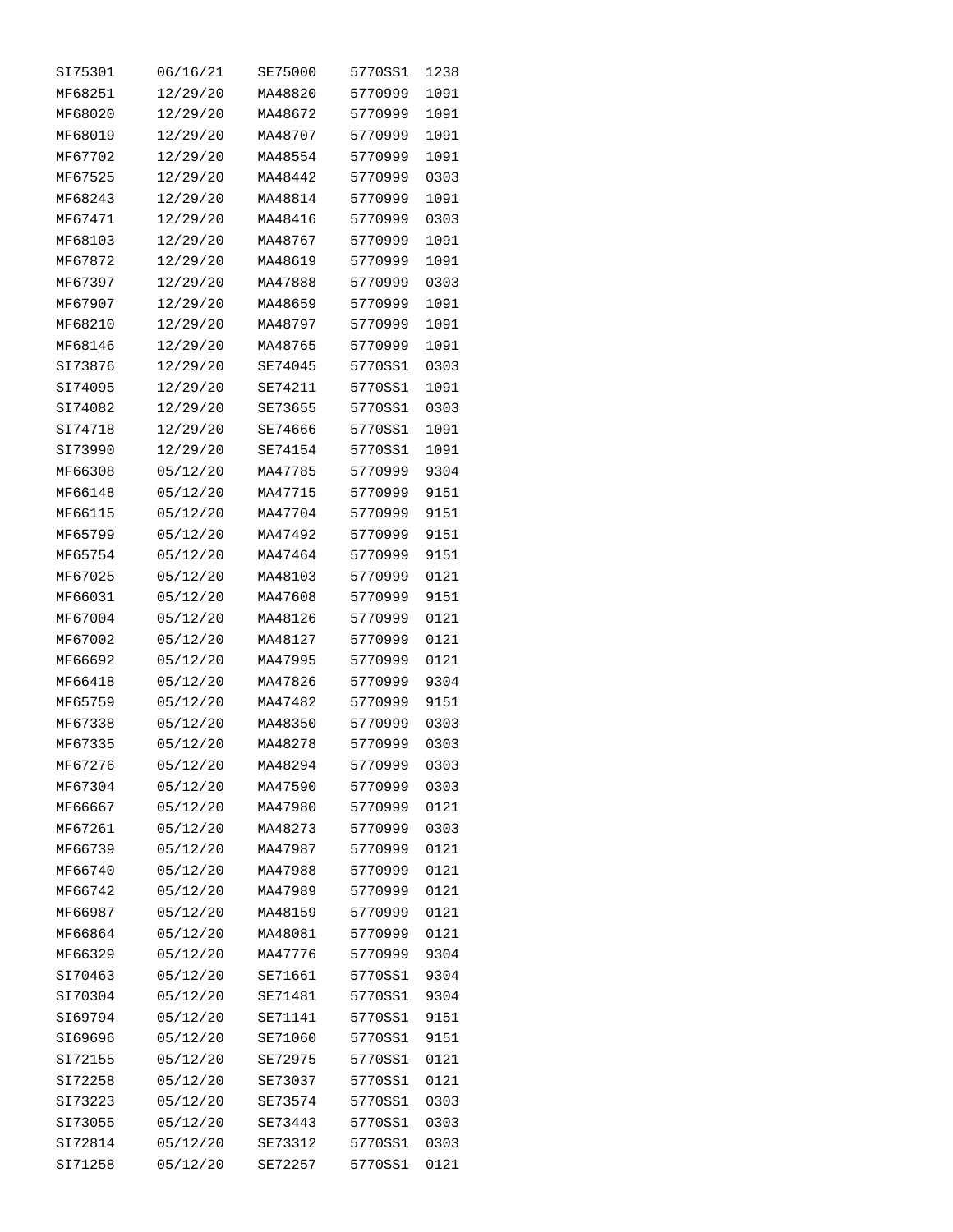| SI75301 | 06/16/21 | SE75000 | 5770SS1 | 1238 |
|---------|----------|---------|---------|------|
| MF68251 | 12/29/20 | MA48820 | 5770999 | 1091 |
| MF68020 | 12/29/20 | MA48672 | 5770999 | 1091 |
| MF68019 | 12/29/20 | MA48707 | 5770999 | 1091 |
| MF67702 | 12/29/20 | MA48554 | 5770999 | 1091 |
| MF67525 | 12/29/20 | MA48442 | 5770999 | 0303 |
| MF68243 | 12/29/20 | MA48814 | 5770999 | 1091 |
| MF67471 | 12/29/20 | MA48416 | 5770999 | 0303 |
| MF68103 | 12/29/20 | MA48767 | 5770999 | 1091 |
| MF67872 | 12/29/20 | MA48619 | 5770999 | 1091 |
| MF67397 | 12/29/20 | MA47888 | 5770999 | 0303 |
| MF67907 | 12/29/20 | MA48659 | 5770999 | 1091 |
| MF68210 | 12/29/20 | MA48797 | 5770999 | 1091 |
| MF68146 | 12/29/20 | MA48765 | 5770999 | 1091 |
| SI73876 | 12/29/20 | SE74045 | 5770SS1 | 0303 |
| SI74095 | 12/29/20 | SE74211 | 5770SS1 | 1091 |
| SI74082 | 12/29/20 | SE73655 | 5770SS1 | 0303 |
| SI74718 | 12/29/20 | SE74666 | 5770SS1 | 1091 |
| SI73990 | 12/29/20 | SE74154 | 5770SS1 | 1091 |
| MF66308 | 05/12/20 | MA47785 | 5770999 | 9304 |
| MF66148 | 05/12/20 | MA47715 | 5770999 | 9151 |
| MF66115 | 05/12/20 | MA47704 | 5770999 | 9151 |
| MF65799 | 05/12/20 | MA47492 | 5770999 | 9151 |
| MF65754 | 05/12/20 | MA47464 | 5770999 | 9151 |
| MF67025 | 05/12/20 | MA48103 | 5770999 | 0121 |
| MF66031 | 05/12/20 | MA47608 | 5770999 | 9151 |
| MF67004 | 05/12/20 | MA48126 | 5770999 | 0121 |
| MF67002 | 05/12/20 | MA48127 | 5770999 | 0121 |
| MF66692 | 05/12/20 | MA47995 | 5770999 | 0121 |
| MF66418 | 05/12/20 | MA47826 | 5770999 | 9304 |
| MF65759 | 05/12/20 | MA47482 | 5770999 | 9151 |
| MF67338 | 05/12/20 | MA48350 | 5770999 | 0303 |
| MF67335 | 05/12/20 | MA48278 | 5770999 | 0303 |
| MF67276 | 05/12/20 | MA48294 | 5770999 | 0303 |
| MF67304 | 05/12/20 | MA47590 | 5770999 | 0303 |
| MF66667 | 05/12/20 | MA47980 | 5770999 | 0121 |
| MF67261 | 05/12/20 | MA48273 | 5770999 | 0303 |
| MF66739 | 05/12/20 | MA47987 | 5770999 | 0121 |
| MF66740 | 05/12/20 | MA47988 | 5770999 | 0121 |
| MF66742 | 05/12/20 | MA47989 | 5770999 | 0121 |
| MF66987 | 05/12/20 | MA48159 | 5770999 | 0121 |
| MF66864 | 05/12/20 | MA48081 | 5770999 | 0121 |
| MF66329 | 05/12/20 | MA47776 | 5770999 | 9304 |
| SI70463 | 05/12/20 | SE71661 | 5770SS1 | 9304 |
| SI70304 | 05/12/20 | SE71481 | 5770SS1 | 9304 |
| SI69794 | 05/12/20 | SE71141 | 5770SS1 | 9151 |
| SI69696 | 05/12/20 | SE71060 | 5770SS1 | 9151 |
| SI72155 | 05/12/20 | SE72975 | 5770SS1 | 0121 |
| SI72258 | 05/12/20 | SE73037 | 5770SS1 | 0121 |
| SI73223 | 05/12/20 | SE73574 | 5770SS1 | 0303 |
| SI73055 | 05/12/20 | SE73443 | 5770SS1 | 0303 |
| SI72814 | 05/12/20 | SE73312 | 5770SS1 | 0303 |
| SI71258 | 05/12/20 | SE72257 | 5770SS1 | 0121 |
|         |          |         |         |      |